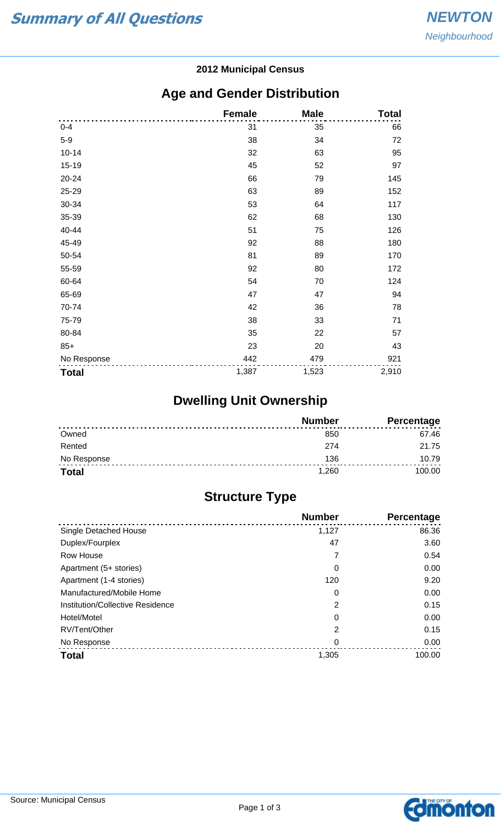#### **2012 Municipal Census**

### **Age and Gender Distribution**

|              | <b>Female</b> | <b>Male</b> | <b>Total</b> |
|--------------|---------------|-------------|--------------|
| $0 - 4$      | 31            | 35          | 66           |
| $5-9$        | 38            | 34          | 72           |
| $10 - 14$    | 32            | 63          | 95           |
| 15-19        | 45            | 52          | 97           |
| $20 - 24$    | 66            | 79          | 145          |
| 25-29        | 63            | 89          | 152          |
| 30-34        | 53            | 64          | 117          |
| 35-39        | 62            | 68          | 130          |
| 40-44        | 51            | 75          | 126          |
| 45-49        | 92            | 88          | 180          |
| 50-54        | 81            | 89          | 170          |
| 55-59        | 92            | 80          | 172          |
| 60-64        | 54            | 70          | 124          |
| 65-69        | 47            | 47          | 94           |
| 70-74        | 42            | 36          | 78           |
| 75-79        | 38            | 33          | 71           |
| 80-84        | 35            | 22          | 57           |
| $85+$        | 23            | 20          | 43           |
| No Response  | 442           | 479         | 921          |
| <b>Total</b> | 1,387         | 1,523       | 2,910        |

# **Dwelling Unit Ownership**

|              | <b>Number</b> | <b>Percentage</b> |
|--------------|---------------|-------------------|
| Owned        | 850           | 67.46             |
| Rented       | 274           | 21.75             |
| No Response  | 136           | 10.79             |
| <b>Total</b> | 1,260         | 100.00            |

## **Structure Type**

|                                  | <b>Number</b> | Percentage |
|----------------------------------|---------------|------------|
| Single Detached House            | 1,127         | 86.36      |
| Duplex/Fourplex                  | 47            | 3.60       |
| Row House                        |               | 0.54       |
| Apartment (5+ stories)           | 0             | 0.00       |
| Apartment (1-4 stories)          | 120           | 9.20       |
| Manufactured/Mobile Home         | 0             | 0.00       |
| Institution/Collective Residence | 2             | 0.15       |
| Hotel/Motel                      | 0             | 0.00       |
| RV/Tent/Other                    | 2             | 0.15       |
| No Response                      | 0             | 0.00       |
| <b>Total</b>                     | 1,305         | 100.00     |

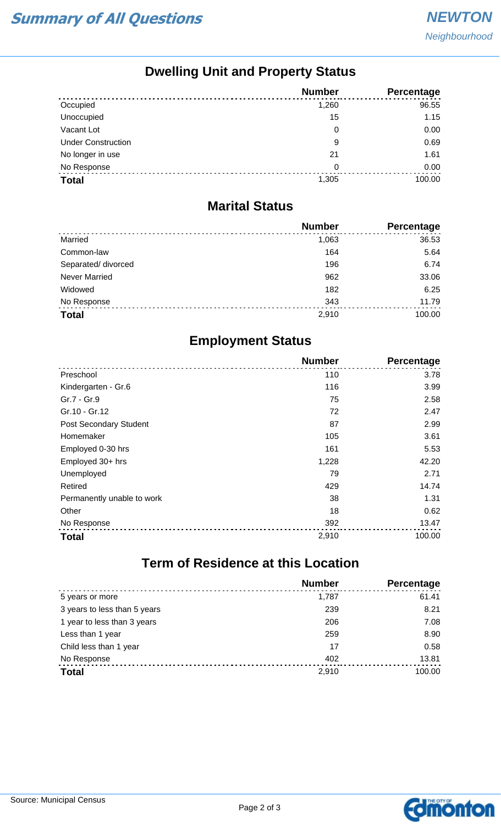## **Dwelling Unit and Property Status**

|                           | <b>Number</b> | <b>Percentage</b> |
|---------------------------|---------------|-------------------|
| Occupied                  | 1,260         | 96.55             |
| Unoccupied                | 15            | 1.15              |
| Vacant Lot                | 0             | 0.00              |
| <b>Under Construction</b> | 9             | 0.69              |
| No longer in use          | 21            | 1.61              |
| No Response               | 0             | 0.00              |
| <b>Total</b>              | 1,305         | 100.00            |

#### **Marital Status**

|                      | <b>Number</b> | Percentage |
|----------------------|---------------|------------|
| Married              | 1,063         | 36.53      |
| Common-law           | 164           | 5.64       |
| Separated/ divorced  | 196           | 6.74       |
| <b>Never Married</b> | 962           | 33.06      |
| Widowed              | 182           | 6.25       |
| No Response          | 343           | 11.79      |
| <b>Total</b>         | 2,910         | 100.00     |

### **Employment Status**

|                            | <b>Number</b> | <b>Percentage</b> |
|----------------------------|---------------|-------------------|
| Preschool                  | 110           | 3.78              |
| Kindergarten - Gr.6        | 116           | 3.99              |
| Gr.7 - Gr.9                | 75            | 2.58              |
| Gr.10 - Gr.12              | 72            | 2.47              |
| Post Secondary Student     | 87            | 2.99              |
| Homemaker                  | 105           | 3.61              |
| Employed 0-30 hrs          | 161           | 5.53              |
| Employed 30+ hrs           | 1,228         | 42.20             |
| Unemployed                 | 79            | 2.71              |
| Retired                    | 429           | 14.74             |
| Permanently unable to work | 38            | 1.31              |
| Other                      | 18            | 0.62              |
| No Response                | 392           | 13.47             |
| <b>Total</b>               | 2,910         | 100.00            |

# **Term of Residence at this Location**

|                              | <b>Number</b> | <b>Percentage</b> |
|------------------------------|---------------|-------------------|
| 5 years or more              | 1.787         | 61.41             |
| 3 years to less than 5 years | 239           | 8.21              |
| 1 year to less than 3 years  | 206           | 7.08              |
| Less than 1 year             | 259           | 8.90              |
| Child less than 1 year       | 17            | 0.58              |
| No Response                  | 402           | 13.81             |
| <b>Total</b>                 | 2,910         | 100.00            |